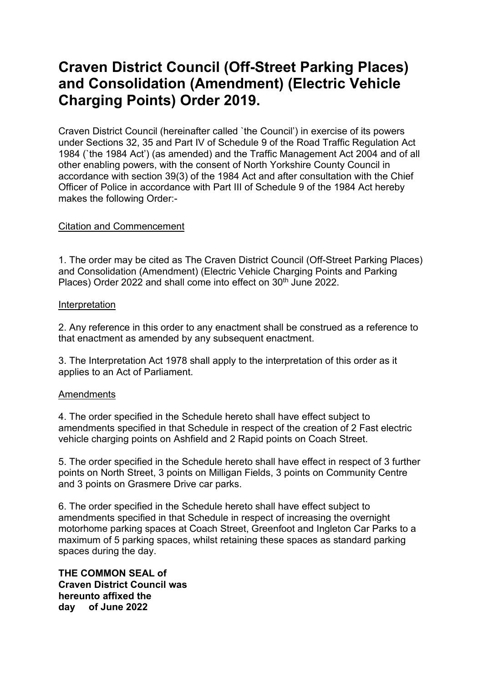# **Craven District Council (Off-Street Parking Places) and Consolidation (Amendment) (Electric Vehicle Charging Points) Order 2019.**

Craven District Council (hereinafter called `the Council') in exercise of its powers under Sections 32, 35 and Part IV of Schedule 9 of the Road Traffic Regulation Act 1984 (`the 1984 Act') (as amended) and the Traffic Management Act 2004 and of all other enabling powers, with the consent of North Yorkshire County Council in accordance with section 39(3) of the 1984 Act and after consultation with the Chief Officer of Police in accordance with Part III of Schedule 9 of the 1984 Act hereby makes the following Order:-

## Citation and Commencement

1. The order may be cited as The Craven District Council (Off-Street Parking Places) and Consolidation (Amendment) (Electric Vehicle Charging Points and Parking Places) Order 2022 and shall come into effect on 30<sup>th</sup> June 2022.

## Interpretation

2. Any reference in this order to any enactment shall be construed as a reference to that enactment as amended by any subsequent enactment.

3. The Interpretation Act 1978 shall apply to the interpretation of this order as it applies to an Act of Parliament.

## **Amendments**

4. The order specified in the Schedule hereto shall have effect subject to amendments specified in that Schedule in respect of the creation of 2 Fast electric vehicle charging points on Ashfield and 2 Rapid points on Coach Street.

5. The order specified in the Schedule hereto shall have effect in respect of 3 further points on North Street, 3 points on Milligan Fields, 3 points on Community Centre and 3 points on Grasmere Drive car parks.

6. The order specified in the Schedule hereto shall have effect subject to amendments specified in that Schedule in respect of increasing the overnight motorhome parking spaces at Coach Street, Greenfoot and Ingleton Car Parks to a maximum of 5 parking spaces, whilst retaining these spaces as standard parking spaces during the day.

**THE COMMON SEAL of Craven District Council was hereunto affixed the day of June 2022**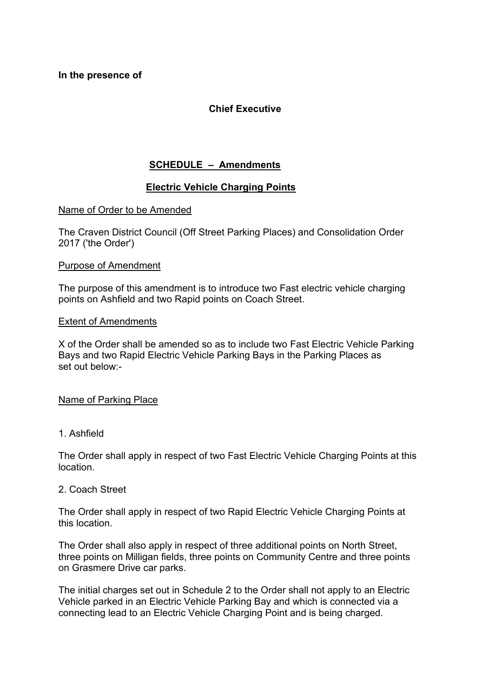**In the presence of** 

# **Chief Executive**

# **SCHEDULE – Amendments**

## **Electric Vehicle Charging Points**

## Name of Order to be Amended

The Craven District Council (Off Street Parking Places) and Consolidation Order 2017 ('the Order')

## Purpose of Amendment

The purpose of this amendment is to introduce two Fast electric vehicle charging points on Ashfield and two Rapid points on Coach Street.

#### Extent of Amendments

X of the Order shall be amended so as to include two Fast Electric Vehicle Parking Bays and two Rapid Electric Vehicle Parking Bays in the Parking Places as set out below:-

#### Name of Parking Place

## 1. Ashfield

The Order shall apply in respect of two Fast Electric Vehicle Charging Points at this location.

#### 2. Coach Street

The Order shall apply in respect of two Rapid Electric Vehicle Charging Points at this location.

The Order shall also apply in respect of three additional points on North Street, three points on Milligan fields, three points on Community Centre and three points on Grasmere Drive car parks.

The initial charges set out in Schedule 2 to the Order shall not apply to an Electric Vehicle parked in an Electric Vehicle Parking Bay and which is connected via a connecting lead to an Electric Vehicle Charging Point and is being charged.